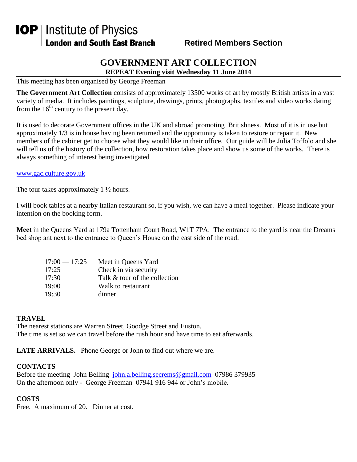# **IOP** | Institute of Physics **London and South East Branch**

### **Retired Members Section**

## **GOVERNMENT ART COLLECTION**

**REPEAT Evening visit Wednesday 11 June 2014**

This meeting has been organised by George Freeman

**The Government Art Collection** consists of approximately 13500 works of art by mostly British artists in a vast variety of media. It includes paintings, sculpture, drawings, prints, photographs, textiles and video works dating from the  $16<sup>th</sup>$  century to the present day.

It is used to decorate Government offices in the UK and abroad promoting Britishness. Most of it is in use but approximately 1/3 is in house having been returned and the opportunity is taken to restore or repair it. New members of the cabinet get to choose what they would like in their office. Our guide will be Julia Toffolo and she will tell us of the history of the collection, how restoration takes place and show us some of the works. There is always something of interest being investigated

[www.gac.culture.gov.uk](http://www.gac.culture.gov.uk/)

The tour takes approximately  $1 \frac{1}{2}$  hours.

I will book tables at a nearby Italian restaurant so, if you wish, we can have a meal together. Please indicate your intention on the booking form.

**Meet** in the Queens Yard at 179a Tottenham Court Road, W1T 7PA. The entrance to the yard is near the Dreams bed shop ant next to the entrance to Queen's House on the east side of the road.

| $17:00 - 17:25$ | Meet in Queens Yard           |
|-----------------|-------------------------------|
| 17:25           | Check in via security         |
| 17:30           | Talk & tour of the collection |
| 19:00           | Walk to restaurant            |
| 19:30           | dinner                        |

#### **TRAVEL**

The nearest stations are Warren Street, Goodge Street and Euston. The time is set so we can travel before the rush hour and have time to eat afterwards.

**LATE ARRIVALS.** Phone George or John to find out where we are.

#### **CONTACTS**

Before the meeting John Belling [john.a.belling.secrems@gmail.com](mailto:john.a.belling.secrems@gmail.com) 07986 379935 On the afternoon only - George Freeman 07941 916 944 or John's mobile.

#### **COSTS**

Free. A maximum of 20. Dinner at cost.